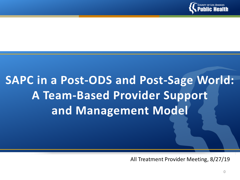

# **SAPC in a Post-ODS and Post-Sage World: A Team-Based Provider Support and Management Model**

All Treatment Provider Meeting, 8/27/19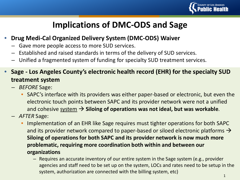

## **Implications of DMC-ODS and Sage**

- **Drug Medi-Cal Organized Delivery System (DMC-ODS) Waiver**
	- Gave more people access to more SUD services.
	- Established and raised standards in terms of the delivery of SUD services.
	- Unified a fragmented system of funding for specialty SUD treatment services.
- **Sage - Los Angeles County's electronic health record (EHR) for the specialty SUD treatment system**
	- *BEFORE* Sage:
		- SAPC's interface with its providers was either paper-based or electronic, but even the electronic touch points between SAPC and its provider network were not a unified and cohesive  $\frac{system}{}$  Siloing of operations was not ideal, but was workable.
	- *AFTER* Sage:
		- Implementation of an EHR like Sage requires must tighter operations for both SAPC and its provider network compared to paper-based or siloed electronic platforms  $\rightarrow$ **Siloing of operations for both SAPC and its provider network is now much more problematic, requiring more coordination both within and between our organizations**
			- Requires an accurate inventory of our entire system in the Sage system (e.g., provider agencies and staff need to be set up on the system, LOCs and rates need to be setup in the system, authorization are connected with the billing system, etc)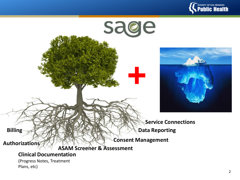



(Progress Notes, Treatment Plans, etc)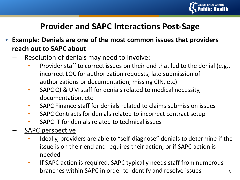

## **Provider and SAPC Interactions Post-Sage**

- **Example: Denials are one of the most common issues that providers reach out to SAPC about**
	- Resolution of denials may need to involve:
		- Provider staff to correct issues on their end that led to the denial (e.g., incorrect LOC for authorization requests, late submission of authorizations or documentation, missing CIN, etc)
		- SAPC QI & UM staff for denials related to medical necessity, documentation, etc
		- SAPC Finance staff for denials related to claims submission issues
		- SAPC Contracts for denials related to incorrect contract setup
		- SAPC IT for denials related to technical issues
	- SAPC perspective
		- Ideally, providers are able to "self-diagnose" denials to determine if the issue is on their end and requires their action, or if SAPC action is needed
		- If SAPC action is required, SAPC typically needs staff from numerous branches within SAPC in order to identify and resolve issues  $\frac{3}{3}$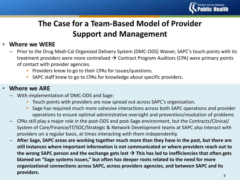

## **The Case for a Team-Based Model of Provider Support and Management**

### • **Where we WERE**

- Prior to the Drug Medi-Cal Organized Delivery System (DMC-ODS) Waiver, SAPC's touch points with its treatment providers were more centralized  $\rightarrow$  Contract Program Auditors (CPA) were primary points of contact with provider agencies.
	- Providers knew to go to their CPAs for issues/questions.
	- SAPC staff knew to go to CPAs for knowledge about specific providers.

### • **Where we ARE**

- With implementation of DMC-ODS and Sage:
	- Touch points with providers are now spread out across SAPC's organization.
	- Sage has required much more cohesive interactions across both SAPC operations and provider operations to ensure optimal administrative oversight and prevention/resolution of problems
- CPAs still play a major role in the post-ODS and post-Sage environment, but the Contracts/Clinical/ System of Care/Finance/IT/SOC/Strategic & Network Development teams at SAPC also interact with providers on a regular basis, at times interacting with them independently.
- **After Sage, SAPC areas are working together much more than they have in the past, but there are still instances where important information is not communicated or where providers reach out to**  the wrong SAPC person and the exchange gets lost  $\rightarrow$  This has led to inefficiencies that often gets **blamed on "Sage systems issues," but often has deeper roots related to the need for more organizational connections across SAPC, across providers agencies, and between SAPC and its providers.** <sup>4</sup>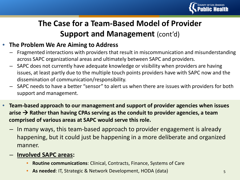

## **The Case for a Team-Based Model of Provider Support and Management (cont'd)**

### • **The Problem We Are Aiming to Address**

- Fragmented interactions with providers that result in miscommunication and misunderstanding across SAPC organizational areas and ultimately between SAPC and providers.
- SAPC does not currently have adequate knowledge or visibility when providers are having issues, at least partly due to the multiple touch points providers have with SAPC now and the dissemination of communication/responsibility.
- SAPC needs to have a better "sensor" to alert us when there are issues with providers for both support and management.
- **Team-based approach to our management and support of provider agencies when issues**  arise  $\rightarrow$  Rather than having CPAs serving as the conduit to provider agencies, a team **comprised of various areas at SAPC would serve this role.** 
	- In many ways, this team-based approach to provider engagement is already happening, but it could just be happening in a more deliberate and organized manner.
	- **Involved SAPC areas:** 
		- **Routine communications**: Clinical, Contracts, Finance, Systems of Care
		- **As needed: IT, Strategic & Network Development, HODA (data)** 5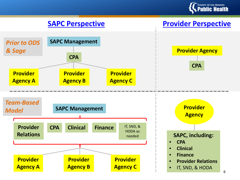

### **SAPC Perspective Provider Perspective**





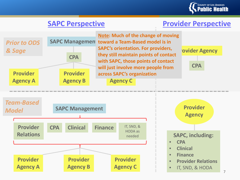

### **SAPC Perspective**  Provider Perspective



**Provider across SAPC's organizationAgency C Note: Much of the change of moving toward a Team-Based model is in SAPC's orientation. For providers, they still maintain points of contact with SAPC, those points of contact will just involve more people from** 





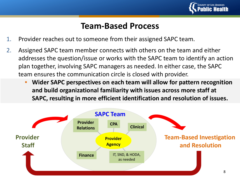

### **Team-Based Process**

- 1. Provider reaches out to someone from their assigned SAPC team.
- 2. Assigned SAPC team member connects with others on the team and either addresses the question/issue or works with the SAPC team to identify an action plan together, involving SAPC managers as needed. In either case, the SAPC team ensures the communication circle is closed with provider.
	- **Wider SAPC perspectives on each team will allow for pattern recognition and build organizational familiarity with issues across more staff at SAPC, resulting in more efficient identification and resolution of issues.**

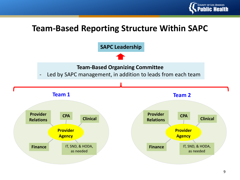

## **Team-Based Reporting Structure Within SAPC**